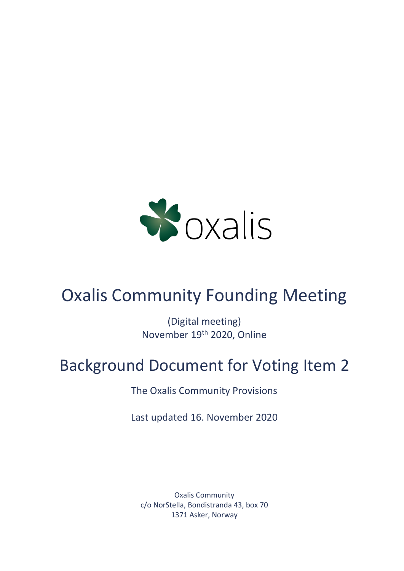

# Oxalis Community Founding Meeting

(Digital meeting) November 19th 2020, Online

# Background Document for Voting Item 2

The Oxalis Community Provisions

Last updated 16. November 2020

Oxalis Community c/o NorStella, Bondistranda 43, box 70 1371 Asker, Norway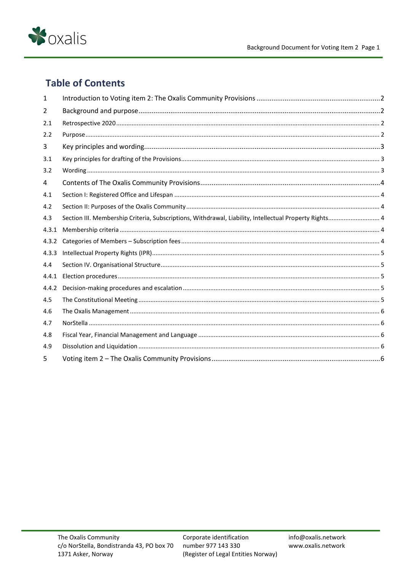

# **Table of Contents**

| 1     |                                                                                                        |  |
|-------|--------------------------------------------------------------------------------------------------------|--|
| 2     |                                                                                                        |  |
| 2.1   |                                                                                                        |  |
| 2.2   |                                                                                                        |  |
| 3     |                                                                                                        |  |
| 3.1   |                                                                                                        |  |
| 3.2   |                                                                                                        |  |
| 4     |                                                                                                        |  |
| 4.1   |                                                                                                        |  |
| 4.2   |                                                                                                        |  |
| 4.3   | Section III. Membership Criteria, Subscriptions, Withdrawal, Liability, Intellectual Property Rights 4 |  |
| 4.3.1 |                                                                                                        |  |
| 4.3.2 |                                                                                                        |  |
| 4.3.3 |                                                                                                        |  |
| 4.4   |                                                                                                        |  |
| 4.4.1 |                                                                                                        |  |
| 4.4.2 |                                                                                                        |  |
| 4.5   |                                                                                                        |  |
| 4.6   |                                                                                                        |  |
| 4.7   |                                                                                                        |  |
| 4.8   |                                                                                                        |  |
| 4.9   |                                                                                                        |  |
| 5     |                                                                                                        |  |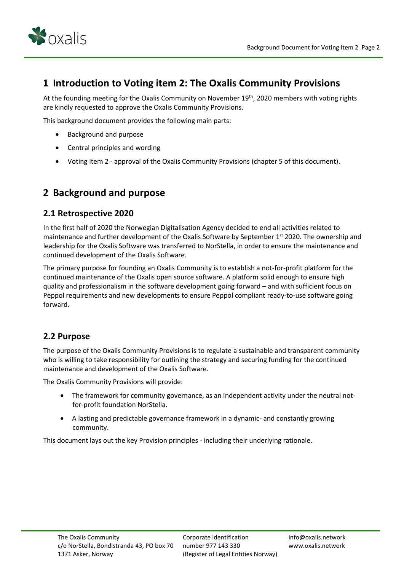

# <span id="page-2-0"></span>**1 Introduction to Voting item 2: The Oxalis Community Provisions**

At the founding meeting for the Oxalis Community on November 19<sup>th</sup>, 2020 members with voting rights are kindly requested to approve the Oxalis Community Provisions.

This background document provides the following main parts:

- Background and purpose
- Central principles and wording
- Voting item 2 approval of the Oxalis Community Provisions (chapter 5 of this document).

# <span id="page-2-1"></span>**2 Background and purpose**

#### <span id="page-2-2"></span>**2.1 Retrospective 2020**

In the first half of 2020 the Norwegian Digitalisation Agency decided to end all activities related to maintenance and further development of the Oxalis Software by September 1<sup>st</sup> 2020. The ownership and leadership for the Oxalis Software was transferred to NorStella, in order to ensure the maintenance and continued development of the Oxalis Software.

The primary purpose for founding an Oxalis Community is to establish a not-for-profit platform for the continued maintenance of the Oxalis open source software. A platform solid enough to ensure high quality and professionalism in the software development going forward – and with sufficient focus on Peppol requirements and new developments to ensure Peppol compliant ready-to-use software going forward.

#### <span id="page-2-3"></span>**2.2 Purpose**

The purpose of the Oxalis Community Provisions is to regulate a sustainable and transparent community who is willing to take responsibility for outlining the strategy and securing funding for the continued maintenance and development of the Oxalis Software.

The Oxalis Community Provisions will provide:

- The framework for community governance, as an independent activity under the neutral notfor-profit foundation NorStella.
- A lasting and predictable governance framework in a dynamic- and constantly growing community.

This document lays out the key Provision principles - including their underlying rationale.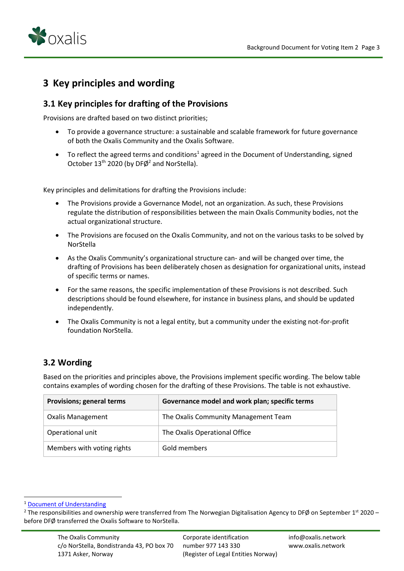

# <span id="page-3-0"></span>**3 Key principles and wording**

## <span id="page-3-1"></span>**3.1 Key principles for drafting of the Provisions**

Provisions are drafted based on two distinct priorities;

- To provide a governance structure: a sustainable and scalable framework for future governance of both the Oxalis Community and the Oxalis Software.
- To reflect the agreed terms and conditions<sup>1</sup> agreed in the Document of Understanding, signed October  $13<sup>th</sup>$  2020 (by DF $\emptyset$ <sup>2</sup> and NorStella).

Key principles and delimitations for drafting the Provisions include:

- The Provisions provide a Governance Model, not an organization. As such, these Provisions regulate the distribution of responsibilities between the main Oxalis Community bodies, not the actual organizational structure.
- The Provisions are focused on the Oxalis Community, and not on the various tasks to be solved by NorStella
- As the Oxalis Community's organizational structure can- and will be changed over time, the drafting of Provisions has been deliberately chosen as designation for organizational units, instead of specific terms or names.
- For the same reasons, the specific implementation of these Provisions is not described. Such descriptions should be found elsewhere, for instance in business plans, and should be updated independently.
- The Oxalis Community is not a legal entity, but a community under the existing not-for-profit foundation NorStella.

# <span id="page-3-2"></span>**3.2 Wording**

Based on the priorities and principles above, the Provisions implement specific wording. The below table contains examples of wording chosen for the drafting of these Provisions. The table is not exhaustive.

| <b>Provisions; general terms</b> | Governance model and work plan; specific terms |
|----------------------------------|------------------------------------------------|
| <b>Oxalis Management</b>         | The Oxalis Community Management Team           |
| Operational unit                 | The Oxalis Operational Office                  |
| Members with voting rights       | Gold members                                   |

<sup>1</sup> [Document of Understanding](https://54e26da9-fbf2-465a-b113-519dff24ebfc.filesusr.com/ugd/7dc7ee_88cc4183552548d68e8bde2090d5b097.pdf)

<sup>&</sup>lt;sup>2</sup> The responsibilities and ownership were transferred from The Norwegian Digitalisation Agency to DFØ on September 1<sup>st</sup> 2020 before DFØ transferred the Oxalis Software to NorStella.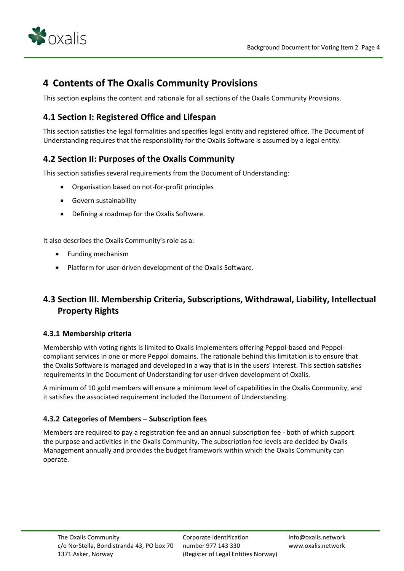

# <span id="page-4-0"></span>**4 Contents of The Oxalis Community Provisions**

This section explains the content and rationale for all sections of the Oxalis Community Provisions.

## <span id="page-4-1"></span>**4.1 Section I: Registered Office and Lifespan**

This section satisfies the legal formalities and specifies legal entity and registered office. The Document of Understanding requires that the responsibility for the Oxalis Software is assumed by a legal entity.

## <span id="page-4-2"></span>**4.2 Section II: Purposes of the Oxalis Community**

This section satisfies several requirements from the Document of Understanding:

- Organisation based on not-for-profit principles
- Govern sustainability
- Defining a roadmap for the Oxalis Software.

It also describes the Oxalis Community's role as a:

- Funding mechanism
- Platform for user-driven development of the Oxalis Software.

# <span id="page-4-3"></span>**4.3 Section III. Membership Criteria, Subscriptions, Withdrawal, Liability, Intellectual Property Rights**

#### <span id="page-4-4"></span>**4.3.1 Membership criteria**

Membership with voting rights is limited to Oxalis implementers offering Peppol-based and Peppolcompliant services in one or more Peppol domains. The rationale behind this limitation is to ensure that the Oxalis Software is managed and developed in a way that is in the users' interest. This section satisfies requirements in the Document of Understanding for user-driven development of Oxalis.

A minimum of 10 gold members will ensure a minimum level of capabilities in the Oxalis Community, and it satisfies the associated requirement included the Document of Understanding.

#### <span id="page-4-5"></span>**4.3.2 Categories of Members – Subscription fees**

Members are required to pay a registration fee and an annual subscription fee - both of which support the purpose and activities in the Oxalis Community. The subscription fee levels are decided by Oxalis Management annually and provides the budget framework within which the Oxalis Community can operate.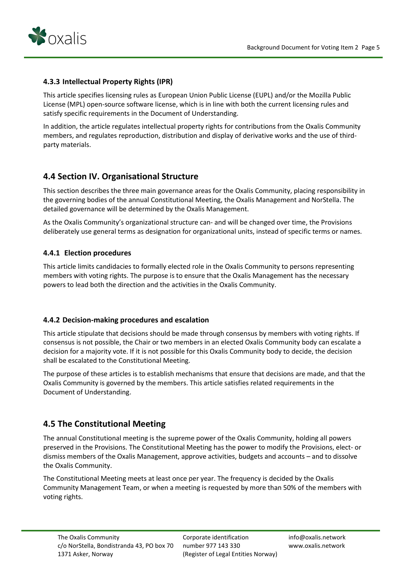

#### <span id="page-5-0"></span>**4.3.3 Intellectual Property Rights (IPR)**

This article specifies licensing rules as European Union Public License (EUPL) and/or the Mozilla Public License (MPL) open-source software license, which is in line with both the current licensing rules and satisfy specific requirements in the Document of Understanding.

In addition, the article regulates intellectual property rights for contributions from the Oxalis Community members, and regulates reproduction, distribution and display of derivative works and the use of thirdparty materials.

## <span id="page-5-1"></span>**4.4 Section IV. Organisational Structure**

This section describes the three main governance areas for the Oxalis Community, placing responsibility in the governing bodies of the annual Constitutional Meeting, the Oxalis Management and NorStella. The detailed governance will be determined by the Oxalis Management.

As the Oxalis Community's organizational structure can- and will be changed over time, the Provisions deliberately use general terms as designation for organizational units, instead of specific terms or names.

#### <span id="page-5-2"></span>**4.4.1 Election procedures**

This article limits candidacies to formally elected role in the Oxalis Community to persons representing members with voting rights. The purpose is to ensure that the Oxalis Management has the necessary powers to lead both the direction and the activities in the Oxalis Community.

#### <span id="page-5-3"></span>**4.4.2 Decision-making procedures and escalation**

This article stipulate that decisions should be made through consensus by members with voting rights. If consensus is not possible, the Chair or two members in an elected Oxalis Community body can escalate a decision for a majority vote. If it is not possible for this Oxalis Community body to decide, the decision shall be escalated to the Constitutional Meeting.

The purpose of these articles is to establish mechanisms that ensure that decisions are made, and that the Oxalis Community is governed by the members. This article satisfies related requirements in the Document of Understanding.

## <span id="page-5-4"></span>**4.5 The Constitutional Meeting**

The annual Constitutional meeting is the supreme power of the Oxalis Community, holding all powers preserved in the Provisions. The Constitutional Meeting has the power to modify the Provisions, elect- or dismiss members of the Oxalis Management, approve activities, budgets and accounts – and to dissolve the Oxalis Community.

The Constitutional Meeting meets at least once per year. The frequency is decided by the Oxalis Community Management Team, or when a meeting is requested by more than 50% of the members with voting rights.